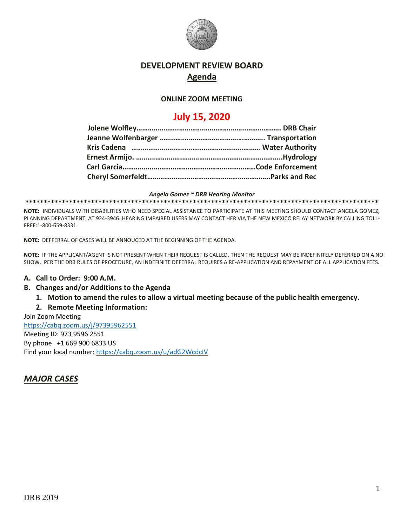

# **DEVELOPMENT REVIEW BOARD Agenda**

#### **ONLINE ZOOM MEETING**

# **July 15, 2020**

*Angela Gomez ~ DRB Hearing Monitor* **\*\*\*\*\*\*\*\*\*\*\*\*\*\*\*\*\*\*\*\*\*\*\*\*\*\*\*\*\*\*\*\*\*\*\*\*\*\*\*\*\*\*\*\*\*\*\*\*\*\*\*\*\*\*\*\*\*\*\*\*\*\*\*\*\*\*\*\*\*\*\*\*\*\*\*\*\*\*\*\*\*\*\*\*\*\*\*\*\*\*\*\*\*\*\*\*\***

**NOTE:** INDIVIDUALS WITH DISABILITIES WHO NEED SPECIAL ASSISTANCE TO PARTICIPATE AT THIS MEETING SHOULD CONTACT ANGELA GOMEZ, PLANNING DEPARTMENT, AT 924-3946. HEARING IMPAIRED USERS MAY CONTACT HER VIA THE NEW MEXICO RELAY NETWORK BY CALLING TOLL-FREE:1-800-659-8331.

**NOTE:** DEFFERRAL OF CASES WILL BE ANNOUCED AT THE BEGINNING OF THE AGENDA.

**NOTE:** IF THE APPLICANT/AGENT IS NOT PRESENT WHEN THEIR REQUEST IS CALLED, THEN THE REQUEST MAY BE INDEFINITELY DEFERRED ON A NO SHOW. PER THE DRB RULES OF PROCEDURE, AN INDEFINITE DEFERRAL REQUIRES A RE-APPLICATION AND REPAYMENT OF ALL APPLICATION FEES.

### **A. Call to Order: 9:00 A.M.**

#### **B. Changes and/or Additions to the Agenda**

**1. Motion to amend the rules to allow a virtual meeting because of the public health emergency.**

### **2. Remote Meeting Information:**

Join Zoom Meeting <https://cabq.zoom.us/j/97395962551> Meeting ID: 973 9596 2551 By phone +1 669 900 6833 US Find your local number[: https://cabq.zoom.us/u/adG2WcdcIV](https://cabq.zoom.us/u/adG2WcdcIV)

# *MAJOR CASES*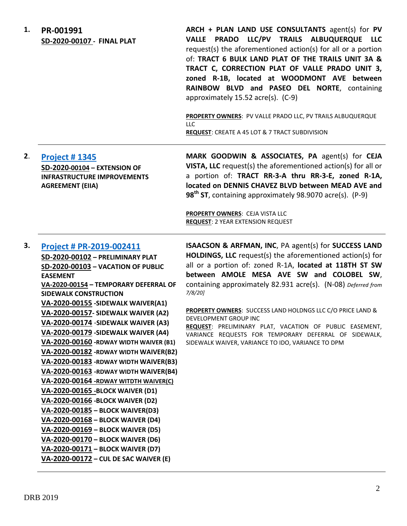**1. PR-001991 SD-2020-00107 - FINAL PLAT ARCH + PLAN LAND USE CONSULTANTS** agent(s) for **PV VALLE PRADO LLC/PV TRAILS ALBUQUERQUE LLC**  request(s) the aforementioned action(s) for all or a portion of: **TRACT 6 BULK LAND PLAT OF THE TRAILS UNIT 3A & TRACT C, CORRECTION PLAT OF VALLE PRADO UNIT 3, zoned R-1B, located at WOODMONT AVE between RAINBOW BLVD and PASEO DEL NORTE**, containing approximately 15.52 acre(s). (C-9) **PROPERTY OWNERS**: PV VALLE PRADO LLC, PV TRAILS ALBUQUERQUE LLC **REQUEST**: CREATE A 45 LOT & 7 TRACT SUBDIVISION **2**. **[Project # 1345](http://data.cabq.gov/government/planning/DRB/PR-001345/DRB%20Submittals/PR-2018-001345_July_15_2020/Application/Ceja%20Vista%20IIA%20Extension%20Merge%20File%202018-001345.pdf) SD-2020-00104 – EXTENSION OF INFRASTRUCTURE IMPROVEMENTS AGREEMENT (EIIA) MARK GOODWIN & ASSOCIATES, PA** agent(s) for **CEJA VISTA, LLC** request(s) the aforementioned action(s) for all or a portion of: **TRACT RR-3-A thru RR-3-E, zoned R-1A, located on DENNIS CHAVEZ BLVD between MEAD AVE and 98th ST**, containing approximately 98.9070 acre(s). (P-9) **PROPERTY OWNERS**: CEJA VISTA LLC **REQUEST**: 2 YEAR EXTENSION REQUEST **3. [Project # PR-2019-002411](http://data.cabq.gov/government/planning/DRB/PR-002411/DRB%20Submittals/PR-2020-002411_Jul_15_2020%20(Supp)/Application/PR-2019-002411%20-%20DRB%20Supplemental%20Submittal%20COA%20Planning-Reduced%20Size.pdf) SD-2020-00102 – PRELIMINARY PLAT SD-2020-00103 – VACATION OF PUBLIC EASEMENT VA-2020-00154 – TEMPORARY DEFERRAL OF SIDEWALK CONSTRUCTION VA-2020-00155 -SIDEWALK WAIVER(A1) VA-2020-00157- SIDEWALK WAIVER (A2) VA-2020-00174** -**SIDEWALK WAIVER (A3) VA-2020-00179 -SIDEWALK WAIVER (A4) VA-2020-00160 -RDWAY WIDTH WAIVER (B1) VA-2020-00182 -RDWAY WIDTH WAIVER(B2) VA-2020-00183 -RDWAY WIDTH WAIVER(B3) VA-2020-00163 -RDWAY WIDTH WAIVER(B4) VA-2020-00164 -RDWAY WITDTH WAIVER(C) VA-2020-00165 -BLOCK WAIVER (D1) VA-2020-00166 -BLOCK WAIVER (D2) VA-2020-00185 – BLOCK WAIVER(D3) VA-2020-00168 – BLOCK WAIVER (D4) VA-2020-00169 – BLOCK WAIVER (D5) VA-2020-00170 – BLOCK WAIVER (D6) VA-2020-00171 – BLOCK WAIVER (D7) ISAACSON & ARFMAN, INC**, PA agent(s) for **SUCCESS LAND HOLDINGS, LLC** request(s) the aforementioned action(s) for all or a portion of: zoned R-1A, **located at 118TH ST SW between AMOLE MESA AVE SW and COLOBEL SW**, containing approximately 82.931 acre(s). (N-08) *Deferred from 7/8/20]* **PROPERTY OWNERS**: SUCCESS LAND HOLDNGS LLC C/O PRICE LAND & DEVELOPMENT GROUP INC **REQUEST**: PRELIMINARY PLAT, VACATION OF PUBLIC EASEMENT, VARIANCE REQUESTS FOR TEMPORARY DEFERRAL OF SIDEWALK, SIDEWALK WAIVER, VARIANCE TO IDO, VARIANCE TO DPM

**VA-2020-00172 – CUL DE SAC WAIVER (E)**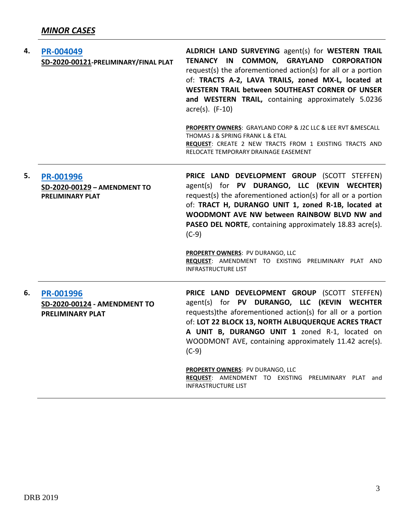| 4. | PR-004049<br>SD-2020-00121-PRELIMINARY/FINAL PLAT                    | ALDRICH LAND SURVEYING agent(s) for WESTERN TRAIL<br>TENANCY IN COMMON, GRAYLAND CORPORATION<br>request(s) the aforementioned action(s) for all or a portion<br>of: TRACTS A-2, LAVA TRAILS, zoned MX-L, located at<br>WESTERN TRAIL between SOUTHEAST CORNER OF UNSER<br>and WESTERN TRAIL, containing approximately 5.0236<br>$\arccos(5)$ . (F-10)<br>PROPERTY OWNERS: GRAYLAND CORP & J2C LLC & LEE RVT & MESCALL<br>THOMAS J & SPRING FRANK L & ETAL<br>REQUEST: CREATE 2 NEW TRACTS FROM 1 EXISTING TRACTS AND<br>RELOCATE TEMPORARY DRAINAGE EASEMENT |
|----|----------------------------------------------------------------------|--------------------------------------------------------------------------------------------------------------------------------------------------------------------------------------------------------------------------------------------------------------------------------------------------------------------------------------------------------------------------------------------------------------------------------------------------------------------------------------------------------------------------------------------------------------|
| 5. | PR-001996<br>SD-2020-00129 - AMENDMENT TO<br><b>PRELIMINARY PLAT</b> | PRICE LAND DEVELOPMENT GROUP (SCOTT STEFFEN)<br>agent(s) for PV DURANGO, LLC (KEVIN WECHTER)<br>request(s) the aforementioned action(s) for all or a portion<br>of: TRACT H, DURANGO UNIT 1, zoned R-1B, located at<br>WOODMONT AVE NW between RAINBOW BLVD NW and<br>PASEO DEL NORTE, containing approximately 18.83 acre(s).<br>$(C-9)$<br><b>PROPERTY OWNERS: PV DURANGO, LLC</b><br>REQUEST: AMENDMENT TO EXISTING PRELIMINARY PLAT AND<br><b>INFRASTRUCTURE LIST</b>                                                                                    |
| 6. | PR-001996<br>SD-2020-00124 - AMENDMENT TO<br><b>PRELIMINARY PLAT</b> | PRICE LAND DEVELOPMENT GROUP (SCOTT STEFFEN)<br>agent(s) for PV DURANGO, LLC (KEVIN WECHTER<br>requests)the aforementioned action(s) for all or a portion<br>of: LOT 22 BLOCK 13, NORTH ALBUQUERQUE ACRES TRACT<br>A UNIT B, DURANGO UNIT 1 zoned R-1, located on<br>WOODMONT AVE, containing approximately 11.42 acre(s).<br>$(C-9)$<br>PROPERTY OWNERS: PV DURANGO, LLC<br>REQUEST: AMENDMENT TO EXISTING PRELIMINARY PLAT and<br><b>INFRASTRUCTURE LIST</b>                                                                                               |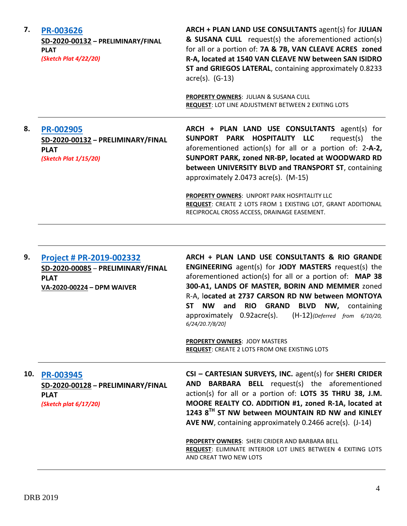**7. [PR-003626](http://data.cabq.gov/government/planning/DRB/PR-2020-003626/DRB%20Submittals/PR-2020-003626_July_15_2020/Application/PR%202020-003626%20PRELIM%20FINAL%20PLAT.pdf) SD-2020-00132 – PRELIMINARY/FINAL PLAT** *(Sketch Plat 4/22/20)* **ARCH + PLAN LAND USE CONSULTANTS** agent(s) for **JULIAN & SUSANA CULL** request(s) the aforementioned action(s) for all or a portion of: **7A & 7B, VAN CLEAVE ACRES zoned R-A, located at 1540 VAN CLEAVE NW between SAN ISIDRO ST and GRIEGOS LATERAL**, containing approximately 0.8233 acre(s). (G-13) **PROPERTY OWNERS**: JULIAN & SUSANA CULL **REQUEST**: LOT LINE ADJUSTMENT BETWEEN 2 EXITING LOTS **8. [PR-002905](http://data.cabq.gov/government/planning/DRB/PR-002905/DRB%20Submittals/PR-2019-002905_Jul_15_2020/Application/DRB%20P&F%20Arch%20&%20Plan%20PR-002905%20SD-2020-00132%20signed%20copy.pdf) SD-2020-00132 – PRELIMINARY/FINAL PLAT** *(Sketch Plat 1/15/20)* **ARCH + PLAN LAND USE CONSULTANTS** agent(s) for **SUNPORT PARK HOSPITALITY LLC** request(s) the aforementioned action(s) for all or a portion of: 2**-A-2, SUNPORT PARK, zoned NR-BP, located at WOODWARD RD between UNIVERSITY BLVD and TRANSPORT ST**, containing approximately 2.0473 acre(s). (M-15) **PROPERTY OWNERS**: UNPORT PARK HOSPITALITY LLC **REQUEST**: CREATE 2 LOTS FROM 1 EXISTING LOT, GRANT ADDITIONAL RECIPROCAL CROSS ACCESS, DRAINAGE EASEMENT.

| 9.  | <b>Project # PR-2019-002332</b><br>SD-2020-00085 - PRELIMINARY/FINAL<br><b>PLAT</b><br>VA-2020-00224 - DPM WAIVER | ARCH + PLAN LAND USE CONSULTANTS & RIO GRANDE<br><b>ENGINEERING</b> agent(s) for <b>JODY MASTERS</b> request(s) the<br>aforementioned action(s) for all or a portion of: MAP 38<br>300-A1, LANDS OF MASTER, BORIN AND MEMMER zoned<br>R-A, located at 2737 CARSON RD NW between MONTOYA<br><b>NW</b><br><b>RIO</b><br><b>GRAND BLVD NW, containing</b><br>ST.<br>and<br>approximately 0.92acre(s).<br>$(H-12)$ {Deferred from 6/10/20,<br>6/24/20.7/8/20]<br><b>PROPERTY OWNERS: JODY MASTERS</b><br><b>REQUEST: CREATE 2 LOTS FROM ONE EXISTING LOTS</b> |
|-----|-------------------------------------------------------------------------------------------------------------------|-----------------------------------------------------------------------------------------------------------------------------------------------------------------------------------------------------------------------------------------------------------------------------------------------------------------------------------------------------------------------------------------------------------------------------------------------------------------------------------------------------------------------------------------------------------|
| 10. | <b>PR-003945</b><br>SD-2020-00128 - PRELIMINARY/FINAL<br><b>PLAT</b><br>(Sketch plat $6/17/20$ )                  | CSI - CARTESIAN SURVEYS, INC. agent(s) for SHERI CRIDER<br><b>AND BARBARA BELL</b> request(s) the aforementioned<br>action(s) for all or a portion of: LOTS 35 THRU 38, J.M.<br>MOORE REALTY CO. ADDITION #1, zoned R-1A, located at<br>1243 8 <sup>TH</sup> ST NW between MOUNTAIN RD NW and KINLEY<br>AVE NW, containing approximately 0.2466 acre(s). (J-14)<br><b>PROPERTY OWNERS: SHERI CRIDER AND BARBARA BELL</b><br><b>REQUEST: ELIMINATE INTERIOR LOT LINES BETWEEN 4 EXITING LOTS</b><br>AND CREAT TWO NEW LOTS                                 |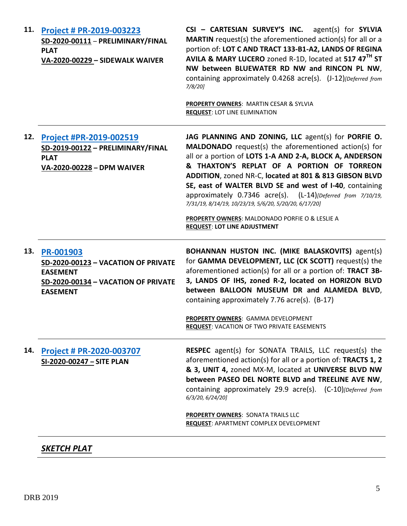| Project # PR-2019-003223<br>SD-2020-00111 - PRELIMINARY/FINAL<br><b>PLAT</b><br>VA-2020-00229 - SIDEWALK WAIVER                      | CSI - CARTESIAN SURVEY'S INC. agent(s) for SYLVIA<br><b>MARTIN</b> request(s) the aforementioned action(s) for all or a<br>portion of: LOT C AND TRACT 133-B1-A2, LANDS OF REGINA<br>AVILA & MARY LUCERO zoned R-1D, located at 517 47 <sup>TH</sup> ST<br>NW between BLUEWATER RD NW and RINCON PL NW,<br>containing approximately 0.4268 acre(s). (J-12) [Deferred from<br>$7/8/20$ ]<br><b>PROPERTY OWNERS: MARTIN CESAR &amp; SYLVIA</b><br><b>REQUEST: LOT LINE ELIMINATION</b>                                                                               |
|--------------------------------------------------------------------------------------------------------------------------------------|--------------------------------------------------------------------------------------------------------------------------------------------------------------------------------------------------------------------------------------------------------------------------------------------------------------------------------------------------------------------------------------------------------------------------------------------------------------------------------------------------------------------------------------------------------------------|
| <b>Project #PR-2019-002519</b><br>SD-2019-00122 - PRELIMINARY/FINAL<br><b>PLAT</b><br>VA-2020-00228 - DPM WAIVER                     | JAG PLANNING AND ZONING, LLC agent(s) for PORFIE O.<br><b>MALDONADO</b> request(s) the aforementioned action(s) for<br>all or a portion of LOTS 1-A AND 2-A, BLOCK A, ANDERSON<br>& THAXTON'S REPLAT OF A PORTION OF TORREON<br>ADDITION, zoned NR-C, located at 801 & 813 GIBSON BLVD<br>SE, east of WALTER BLVD SE and west of I-40, containing<br>approximately 0.7346 acre(s). (L-14)[Deferred from 7/10/19,<br>7/31/19, 8/14/19, 10/23/19, 5/6/20, 5/20/20, 6/17/20]<br>PROPERTY OWNERS: MALDONADO PORFIE O & LESLIE A<br><b>REQUEST: LOT LINE ADJUSTMENT</b> |
| <b>PR-001903</b><br>SD-2020-00123 - VACATION OF PRIVATE<br><b>EASEMENT</b><br>SD-2020-00134 - VACATION OF PRIVATE<br><b>EASEMENT</b> | <b>BOHANNAN HUSTON INC. (MIKE BALASKOVITS)</b> agent(s)<br>for GAMMA DEVELOPMENT, LLC (CK SCOTT) request(s) the<br>aforementioned action(s) for all or a portion of: TRACT 3B-<br>3, LANDS OF IHS, zoned R-2, located on HORIZON BLVD<br>between BALLOON MUSEUM DR and ALAMEDA BLVD,<br>containing approximately 7.76 acre(s). (B-17)<br>PROPERTY OWNERS: GAMMA DEVELOPMENT<br><b>REQUEST: VACATION OF TWO PRIVATE EASEMENTS</b>                                                                                                                                   |
| Project # PR-2020-003707<br>SI-2020-00247 - SITE PLAN                                                                                | <b>RESPEC</b> agent(s) for SONATA TRAILS, LLC request(s) the<br>aforementioned action(s) for all or a portion of: TRACTS 1, 2<br>& 3, UNIT 4, zoned MX-M, located at UNIVERSE BLVD NW<br>between PASEO DEL NORTE BLVD and TREELINE AVE NW,<br>containing approximately 29.9 acre(s). (C-10)[Deferred from<br>6/3/20, 6/24/20]<br><b>PROPERTY OWNERS: SONATA TRAILS LLC</b><br>REQUEST: APARTMENT COMPLEX DEVELOPMENT                                                                                                                                               |
|                                                                                                                                      |                                                                                                                                                                                                                                                                                                                                                                                                                                                                                                                                                                    |

*SKETCH PLAT*